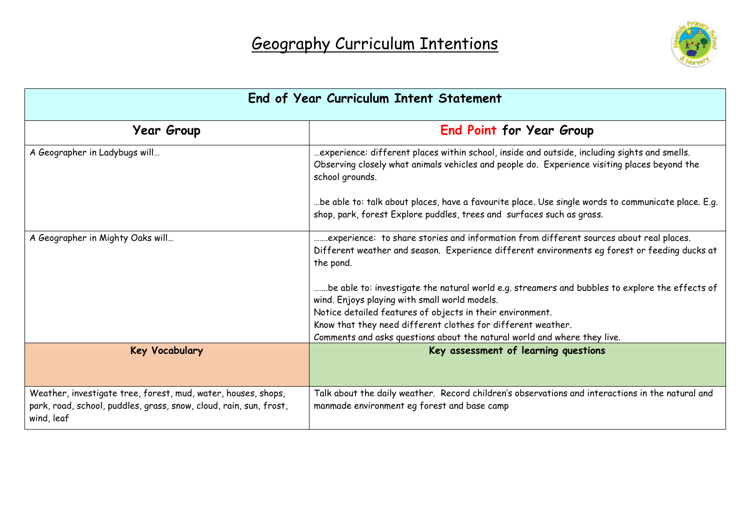

| End of Year Curriculum Intent Statement                                                                                                           |                                                                                                                                                                                                                 |  |
|---------------------------------------------------------------------------------------------------------------------------------------------------|-----------------------------------------------------------------------------------------------------------------------------------------------------------------------------------------------------------------|--|
| <b>Year Group</b>                                                                                                                                 | End Point for Year Group                                                                                                                                                                                        |  |
| A Geographer in Ladybugs will                                                                                                                     | experience: different places within school, inside and outside, including sights and smells.<br>Observing closely what animals vehicles and people do. Experience visiting places beyond the<br>school grounds. |  |
|                                                                                                                                                   | be able to: talk about places, have a favourite place. Use single words to communicate place. E.g<br>shop, park, forest Explore puddles, trees and surfaces such as grass.                                      |  |
| A Geographer in Mighty Oaks will                                                                                                                  | experience: to share stories and information from different sources about real places.<br>Different weather and season. Experience different environments eg forest or feeding ducks at<br>the pond.            |  |
|                                                                                                                                                   | be able to: investigate the natural world e.g. streamers and bubbles to explore the effects of<br>wind. Enjoys playing with small world models.                                                                 |  |
|                                                                                                                                                   | Notice detailed features of objects in their environment.                                                                                                                                                       |  |
|                                                                                                                                                   | Know that they need different clothes for different weather.<br>Comments and asks questions about the natural world and where they live.                                                                        |  |
| <b>Key Vocabulary</b>                                                                                                                             | Key assessment of learning questions                                                                                                                                                                            |  |
| Weather, investigate tree, forest, mud, water, houses, shops,<br>park, road, school, puddles, grass, snow, cloud, rain, sun, frost,<br>wind, leaf | Talk about the daily weather. Record children's observations and interactions in the natural and<br>manmade environment eg forest and base camp                                                                 |  |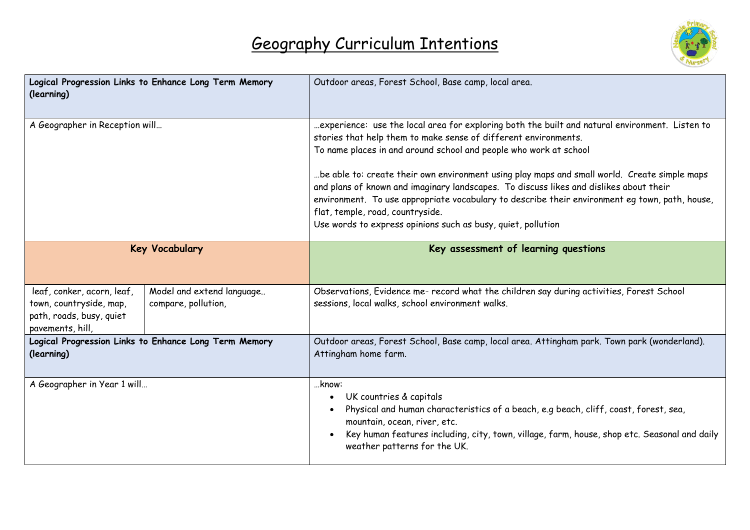

| Logical Progression Links to Enhance Long Term Memory<br>(learning)                                   |                                                  | Outdoor areas, Forest School, Base camp, local area.                                                                                                                                                                                                                                                                                                                                                                                                                                                                                                                                                                                   |
|-------------------------------------------------------------------------------------------------------|--------------------------------------------------|----------------------------------------------------------------------------------------------------------------------------------------------------------------------------------------------------------------------------------------------------------------------------------------------------------------------------------------------------------------------------------------------------------------------------------------------------------------------------------------------------------------------------------------------------------------------------------------------------------------------------------------|
| A Geographer in Reception will                                                                        |                                                  | experience: use the local area for exploring both the built and natural environment. Listen to<br>stories that help them to make sense of different environments.<br>To name places in and around school and people who work at school<br>be able to: create their own environment using play maps and small world. Create simple maps<br>and plans of known and imaginary landscapes. To discuss likes and dislikes about their<br>environment. To use appropriate vocabulary to describe their environment eg town, path, house,<br>flat, temple, road, countryside.<br>Use words to express opinions such as busy, quiet, pollution |
| <b>Key Vocabulary</b>                                                                                 |                                                  | Key assessment of learning questions                                                                                                                                                                                                                                                                                                                                                                                                                                                                                                                                                                                                   |
| leaf, conker, acorn, leaf,<br>town, countryside, map,<br>path, roads, busy, quiet<br>pavements, hill, | Model and extend language<br>compare, pollution, | Observations, Evidence me- record what the children say during activities, Forest School<br>sessions, local walks, school environment walks.                                                                                                                                                                                                                                                                                                                                                                                                                                                                                           |
| Logical Progression Links to Enhance Long Term Memory<br>(learning)                                   |                                                  | Outdoor areas, Forest School, Base camp, local area. Attingham park. Town park (wonderland).<br>Attingham home farm.                                                                                                                                                                                                                                                                                                                                                                                                                                                                                                                   |
| A Geographer in Year 1 will                                                                           |                                                  | know:<br>UK countries & capitals<br>Physical and human characteristics of a beach, e.g beach, cliff, coast, forest, sea,<br>mountain, ocean, river, etc.<br>Key human features including, city, town, village, farm, house, shop etc. Seasonal and daily<br>weather patterns for the UK.                                                                                                                                                                                                                                                                                                                                               |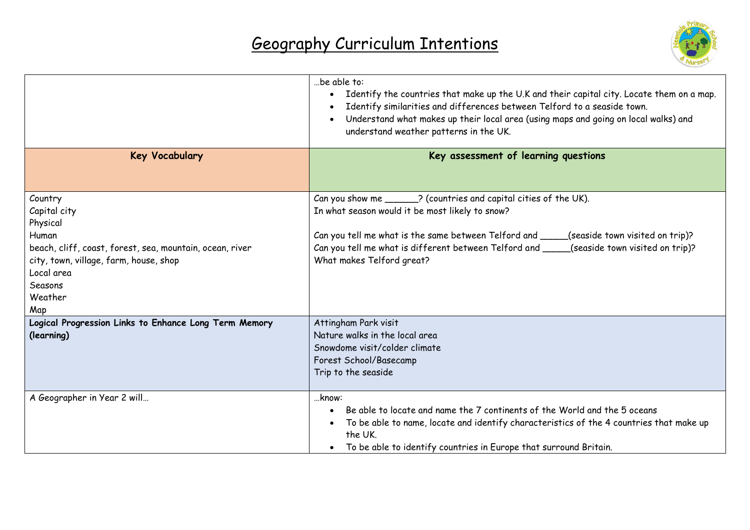

|                                                                                                                                                                                               | be able to:<br>Identify the countries that make up the U.K and their capital city. Locate them on a map.<br>$\bullet$<br>Identify similarities and differences between Telford to a seaside town.<br>$\bullet$<br>Understand what makes up their local area (using maps and going on local walks) and<br>$\bullet$<br>understand weather patterns in the UK. |  |
|-----------------------------------------------------------------------------------------------------------------------------------------------------------------------------------------------|--------------------------------------------------------------------------------------------------------------------------------------------------------------------------------------------------------------------------------------------------------------------------------------------------------------------------------------------------------------|--|
| <b>Key Vocabulary</b>                                                                                                                                                                         | Key assessment of learning questions                                                                                                                                                                                                                                                                                                                         |  |
| Country<br>Capital city<br>Physical<br>Human<br>beach, cliff, coast, forest, sea, mountain, ocean, river<br>city, town, village, farm, house, shop<br>Local area<br>Seasons<br>Weather<br>Map | Can you show me ______? (countries and capital cities of the UK).<br>In what season would it be most likely to snow?<br>Can you tell me what is the same between Telford and _____<br>(seaside town visited on trip)?<br>Can you tell me what is different between Telford and ___<br>(seaside town visited on trip)?<br>What makes Telford great?           |  |
| Logical Progression Links to Enhance Long Term Memory<br>(learning)<br>A Geographer in Year 2 will                                                                                            | Attingham Park visit<br>Nature walks in the local area<br>Snowdome visit/colder climate<br>Forest School/Basecamp<br>Trip to the seaside<br>know:                                                                                                                                                                                                            |  |
|                                                                                                                                                                                               | Be able to locate and name the 7 continents of the World and the 5 oceans<br>$\bullet$<br>To be able to name, locate and identify characteristics of the 4 countries that make up<br>$\bullet$<br>the UK.<br>To be able to identify countries in Europe that surround Britain.                                                                               |  |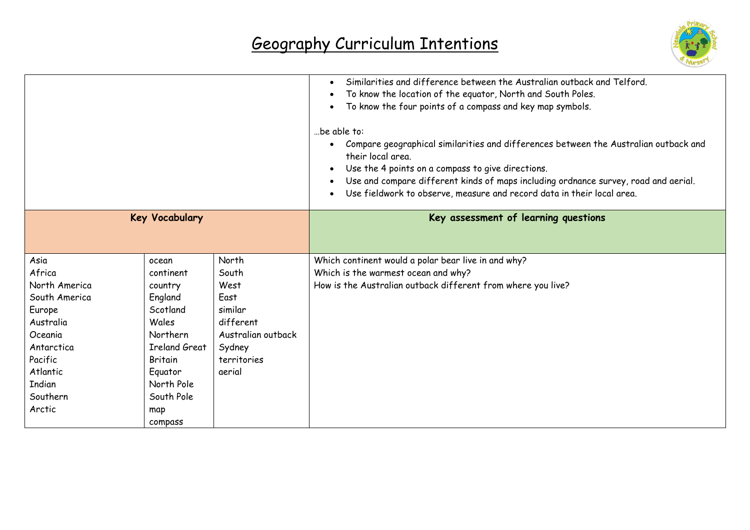

|                       |                      |                    | Similarities and difference between the Australian outback and Telford.<br>$\bullet$<br>To know the location of the equator, North and South Poles.<br>$\bullet$<br>To know the four points of a compass and key map symbols.<br>be able to:<br>Compare geographical similarities and differences between the Australian outback and<br>their local area.<br>Use the 4 points on a compass to give directions.<br>Use and compare different kinds of maps including ordnance survey, road and aerial.<br>Use fieldwork to observe, measure and record data in their local area. |
|-----------------------|----------------------|--------------------|---------------------------------------------------------------------------------------------------------------------------------------------------------------------------------------------------------------------------------------------------------------------------------------------------------------------------------------------------------------------------------------------------------------------------------------------------------------------------------------------------------------------------------------------------------------------------------|
| <b>Key Vocabulary</b> |                      |                    | Key assessment of learning questions                                                                                                                                                                                                                                                                                                                                                                                                                                                                                                                                            |
|                       |                      |                    |                                                                                                                                                                                                                                                                                                                                                                                                                                                                                                                                                                                 |
| Asia                  | ocean                | North              | Which continent would a polar bear live in and why?                                                                                                                                                                                                                                                                                                                                                                                                                                                                                                                             |
| Africa                | continent            | South              | Which is the warmest ocean and why?                                                                                                                                                                                                                                                                                                                                                                                                                                                                                                                                             |
| North America         | country              | West               | How is the Australian outback different from where you live?                                                                                                                                                                                                                                                                                                                                                                                                                                                                                                                    |
| South America         | England              | East               |                                                                                                                                                                                                                                                                                                                                                                                                                                                                                                                                                                                 |
| Europe                | Scotland             | similar            |                                                                                                                                                                                                                                                                                                                                                                                                                                                                                                                                                                                 |
| Australia             | Wales                | different          |                                                                                                                                                                                                                                                                                                                                                                                                                                                                                                                                                                                 |
| Oceania               | Northern             | Australian outback |                                                                                                                                                                                                                                                                                                                                                                                                                                                                                                                                                                                 |
| Antarctica            | <b>Ireland Great</b> | Sydney             |                                                                                                                                                                                                                                                                                                                                                                                                                                                                                                                                                                                 |
| Pacific               | <b>Britain</b>       | territories        |                                                                                                                                                                                                                                                                                                                                                                                                                                                                                                                                                                                 |
| Atlantic              | Equator              | aerial             |                                                                                                                                                                                                                                                                                                                                                                                                                                                                                                                                                                                 |
| <b>Indian</b>         | North Pole           |                    |                                                                                                                                                                                                                                                                                                                                                                                                                                                                                                                                                                                 |
| Southern              | South Pole           |                    |                                                                                                                                                                                                                                                                                                                                                                                                                                                                                                                                                                                 |
| Arctic                | map                  |                    |                                                                                                                                                                                                                                                                                                                                                                                                                                                                                                                                                                                 |
|                       | compass              |                    |                                                                                                                                                                                                                                                                                                                                                                                                                                                                                                                                                                                 |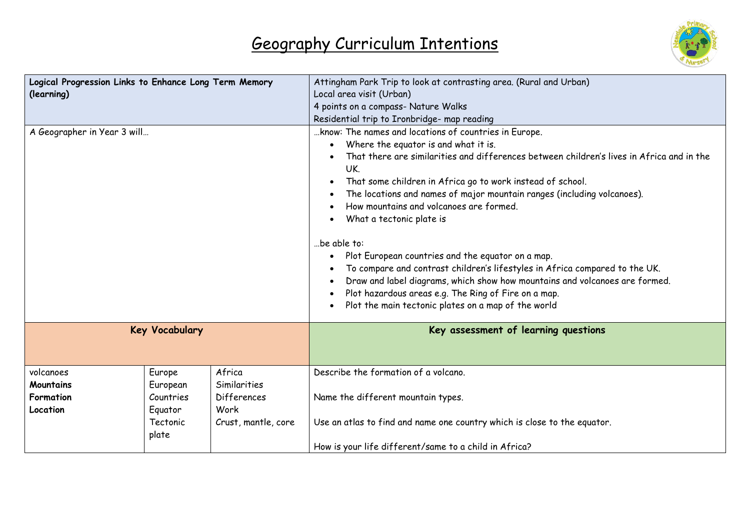

| Logical Progression Links to Enhance Long Term Memory<br>(learning)<br>A Geographer in Year 3 will |                                 |                                              | Attingham Park Trip to look at contrasting area. (Rural and Urban)<br>Local area visit (Urban)<br>4 points on a compass- Nature Walks<br>Residential trip to Ironbridge- map reading<br>know: The names and locations of countries in Europe.<br>Where the equator is and what it is.<br>That there are similarities and differences between children's lives in Africa and in the<br>UK.<br>That some children in Africa go to work instead of school.<br>The locations and names of major mountain ranges (including volcanoes).<br>How mountains and volcanoes are formed.<br>What a tectonic plate is<br>be able to:<br>Plot European countries and the equator on a map.<br>$\bullet$<br>To compare and contrast children's lifestyles in Africa compared to the UK.<br>Draw and label diagrams, which show how mountains and volcanoes are formed.<br>Plot hazardous areas e.g. The Ring of Fire on a map.<br>Plot the main tectonic plates on a map of the world |
|----------------------------------------------------------------------------------------------------|---------------------------------|----------------------------------------------|-------------------------------------------------------------------------------------------------------------------------------------------------------------------------------------------------------------------------------------------------------------------------------------------------------------------------------------------------------------------------------------------------------------------------------------------------------------------------------------------------------------------------------------------------------------------------------------------------------------------------------------------------------------------------------------------------------------------------------------------------------------------------------------------------------------------------------------------------------------------------------------------------------------------------------------------------------------------------|
|                                                                                                    | <b>Key Vocabulary</b>           |                                              | Key assessment of learning questions                                                                                                                                                                                                                                                                                                                                                                                                                                                                                                                                                                                                                                                                                                                                                                                                                                                                                                                                    |
| volcanoes<br>Mountains                                                                             | Europe<br>European<br>Countries | Africa<br>Similarities<br><b>Differences</b> | Describe the formation of a volcano.                                                                                                                                                                                                                                                                                                                                                                                                                                                                                                                                                                                                                                                                                                                                                                                                                                                                                                                                    |
| Formation<br>Location                                                                              | Equator<br>Tectonic             | Work<br>Crust, mantle, core                  | Name the different mountain types.<br>Use an atlas to find and name one country which is close to the equator.                                                                                                                                                                                                                                                                                                                                                                                                                                                                                                                                                                                                                                                                                                                                                                                                                                                          |
|                                                                                                    | plate                           |                                              | How is your life different/same to a child in Africa?                                                                                                                                                                                                                                                                                                                                                                                                                                                                                                                                                                                                                                                                                                                                                                                                                                                                                                                   |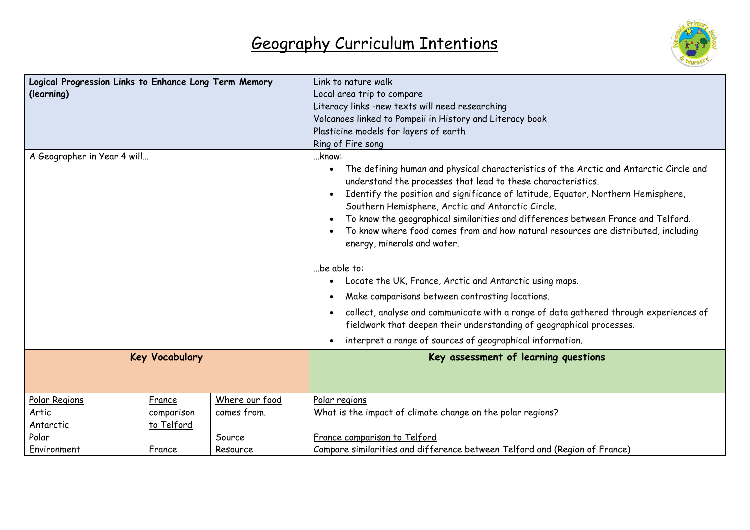

| Logical Progression Links to Enhance Long Term Memory<br>(learning) |            |                | Link to nature walk<br>Local area trip to compare                                                                                                                                                                                                                                                                                                                                                                                                                                                                                                                                                                                                                                                                                                                                                                                  |  |
|---------------------------------------------------------------------|------------|----------------|------------------------------------------------------------------------------------------------------------------------------------------------------------------------------------------------------------------------------------------------------------------------------------------------------------------------------------------------------------------------------------------------------------------------------------------------------------------------------------------------------------------------------------------------------------------------------------------------------------------------------------------------------------------------------------------------------------------------------------------------------------------------------------------------------------------------------------|--|
|                                                                     |            |                | Literacy links -new texts will need researching                                                                                                                                                                                                                                                                                                                                                                                                                                                                                                                                                                                                                                                                                                                                                                                    |  |
|                                                                     |            |                | Volcanoes linked to Pompeii in History and Literacy book<br>Plasticine models for layers of earth                                                                                                                                                                                                                                                                                                                                                                                                                                                                                                                                                                                                                                                                                                                                  |  |
|                                                                     |            |                | Ring of Fire song                                                                                                                                                                                                                                                                                                                                                                                                                                                                                                                                                                                                                                                                                                                                                                                                                  |  |
|                                                                     |            |                | know:                                                                                                                                                                                                                                                                                                                                                                                                                                                                                                                                                                                                                                                                                                                                                                                                                              |  |
| A Geographer in Year 4 will                                         |            |                | The defining human and physical characteristics of the Arctic and Antarctic Circle and<br>understand the processes that lead to these characteristics.<br>Identify the position and significance of latitude, Equator, Northern Hemisphere,<br>Southern Hemisphere, Arctic and Antarctic Circle.<br>To know the geographical similarities and differences between France and Telford.<br>$\bullet$<br>To know where food comes from and how natural resources are distributed, including<br>energy, minerals and water.<br>be able to:<br>Locate the UK, France, Arctic and Antarctic using maps.<br>$\bullet$<br>Make comparisons between contrasting locations.<br>collect, analyse and communicate with a range of data gathered through experiences of<br>fieldwork that deepen their understanding of geographical processes. |  |
|                                                                     |            |                | interpret a range of sources of geographical information.<br>$\bullet$                                                                                                                                                                                                                                                                                                                                                                                                                                                                                                                                                                                                                                                                                                                                                             |  |
| <b>Key Vocabulary</b>                                               |            |                | Key assessment of learning questions                                                                                                                                                                                                                                                                                                                                                                                                                                                                                                                                                                                                                                                                                                                                                                                               |  |
| Polar Regions                                                       | France     | Where our food | Polar regions                                                                                                                                                                                                                                                                                                                                                                                                                                                                                                                                                                                                                                                                                                                                                                                                                      |  |
| Artic                                                               | comparison | comes from.    | What is the impact of climate change on the polar regions?                                                                                                                                                                                                                                                                                                                                                                                                                                                                                                                                                                                                                                                                                                                                                                         |  |
| to Telford<br>Antarctic                                             |            |                |                                                                                                                                                                                                                                                                                                                                                                                                                                                                                                                                                                                                                                                                                                                                                                                                                                    |  |
| Polar<br>Source                                                     |            |                | France comparison to Telford                                                                                                                                                                                                                                                                                                                                                                                                                                                                                                                                                                                                                                                                                                                                                                                                       |  |
| Environment                                                         | France     | Resource       | Compare similarities and difference between Telford and (Region of France)                                                                                                                                                                                                                                                                                                                                                                                                                                                                                                                                                                                                                                                                                                                                                         |  |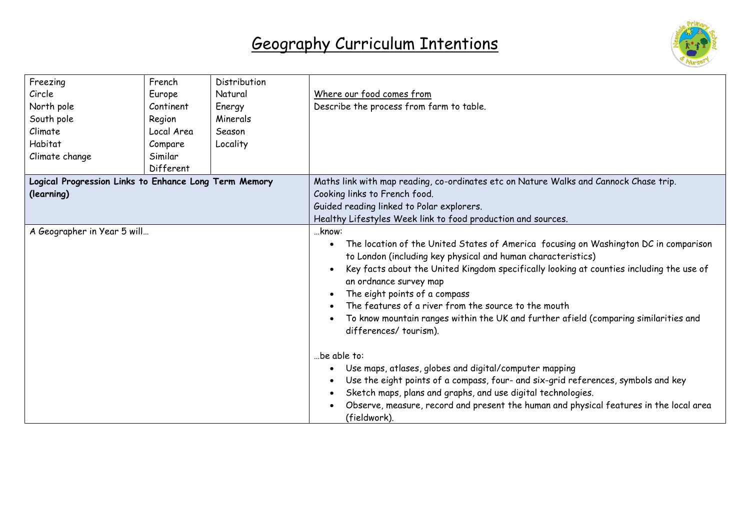

| Freezing<br>Circle<br>North pole<br>South pole<br>Climate<br>Habitat<br>Climate change | French<br>Europe<br>Continent<br>Region<br>Local Area<br>Compare<br>Similar | Distribution<br>Natural<br>Energy<br>Minerals<br>Season<br>Locality | Where our food comes from<br>Describe the process from farm to table.                                                                                                                                                                                                                                                                                                                                                                                                                         |
|----------------------------------------------------------------------------------------|-----------------------------------------------------------------------------|---------------------------------------------------------------------|-----------------------------------------------------------------------------------------------------------------------------------------------------------------------------------------------------------------------------------------------------------------------------------------------------------------------------------------------------------------------------------------------------------------------------------------------------------------------------------------------|
|                                                                                        | Different                                                                   |                                                                     |                                                                                                                                                                                                                                                                                                                                                                                                                                                                                               |
| Logical Progression Links to Enhance Long Term Memory                                  |                                                                             |                                                                     | Maths link with map reading, co-ordinates etc on Nature Walks and Cannock Chase trip.                                                                                                                                                                                                                                                                                                                                                                                                         |
| (learning)                                                                             |                                                                             |                                                                     | Cooking links to French food.<br>Guided reading linked to Polar explorers.                                                                                                                                                                                                                                                                                                                                                                                                                    |
|                                                                                        |                                                                             |                                                                     | Healthy Lifestyles Week link to food production and sources.                                                                                                                                                                                                                                                                                                                                                                                                                                  |
| A Geographer in Year 5 will                                                            |                                                                             |                                                                     | know:<br>The location of the United States of America focusing on Washington DC in comparison<br>to London (including key physical and human characteristics)<br>Key facts about the United Kingdom specifically looking at counties including the use of<br>an ordnance survey map<br>The eight points of a compass<br>The features of a river from the source to the mouth<br>To know mountain ranges within the UK and further afield (comparing similarities and<br>differences/tourism). |
|                                                                                        |                                                                             |                                                                     | be able to:<br>Use maps, atlases, globes and digital/computer mapping<br>Use the eight points of a compass, four- and six-grid references, symbols and key<br>Sketch maps, plans and graphs, and use digital technologies.<br>Observe, measure, record and present the human and physical features in the local area<br>(fieldwork).                                                                                                                                                          |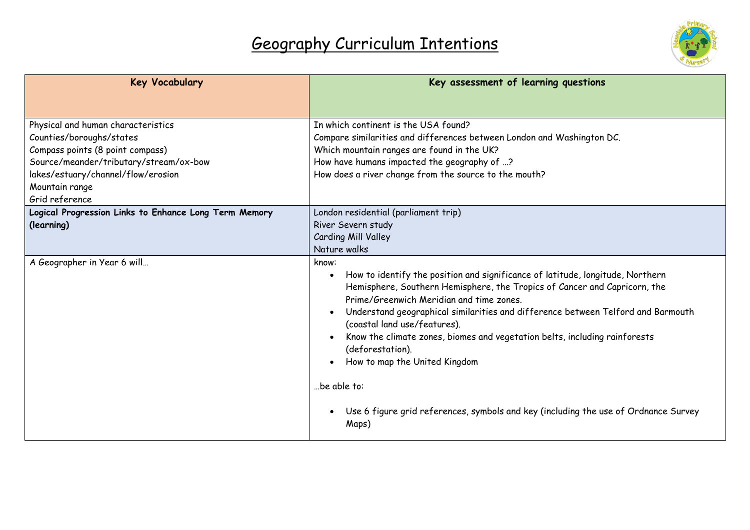

| <b>Key Vocabulary</b>                                 | Key assessment of learning questions                                                                                                                                                                                                                                                                                                                                                                                                                                    |
|-------------------------------------------------------|-------------------------------------------------------------------------------------------------------------------------------------------------------------------------------------------------------------------------------------------------------------------------------------------------------------------------------------------------------------------------------------------------------------------------------------------------------------------------|
|                                                       |                                                                                                                                                                                                                                                                                                                                                                                                                                                                         |
| Physical and human characteristics                    | In which continent is the USA found?                                                                                                                                                                                                                                                                                                                                                                                                                                    |
| Counties/boroughs/states                              | Compare similarities and differences between London and Washington DC.                                                                                                                                                                                                                                                                                                                                                                                                  |
| Compass points (8 point compass)                      | Which mountain ranges are found in the UK?                                                                                                                                                                                                                                                                                                                                                                                                                              |
| Source/meander/tributary/stream/ox-bow                | How have humans impacted the geography of ?                                                                                                                                                                                                                                                                                                                                                                                                                             |
| lakes/estuary/channel/flow/erosion                    | How does a river change from the source to the mouth?                                                                                                                                                                                                                                                                                                                                                                                                                   |
| Mountain range                                        |                                                                                                                                                                                                                                                                                                                                                                                                                                                                         |
| Grid reference                                        |                                                                                                                                                                                                                                                                                                                                                                                                                                                                         |
| Logical Progression Links to Enhance Long Term Memory | London residential (parliament trip)                                                                                                                                                                                                                                                                                                                                                                                                                                    |
| (learning)                                            | River Severn study                                                                                                                                                                                                                                                                                                                                                                                                                                                      |
|                                                       | Carding Mill Valley                                                                                                                                                                                                                                                                                                                                                                                                                                                     |
|                                                       | Nature walks                                                                                                                                                                                                                                                                                                                                                                                                                                                            |
| A Geographer in Year 6 will                           | know:<br>How to identify the position and significance of latitude, longitude, Northern<br>Hemisphere, Southern Hemisphere, the Tropics of Cancer and Capricorn, the<br>Prime/Greenwich Meridian and time zones.<br>Understand geographical similarities and difference between Telford and Barmouth<br>(coastal land use/features).<br>Know the climate zones, biomes and vegetation belts, including rainforests<br>(deforestation).<br>How to map the United Kingdom |
|                                                       | be able to:<br>Use 6 figure grid references, symbols and key (including the use of Ordnance Survey<br>Maps)                                                                                                                                                                                                                                                                                                                                                             |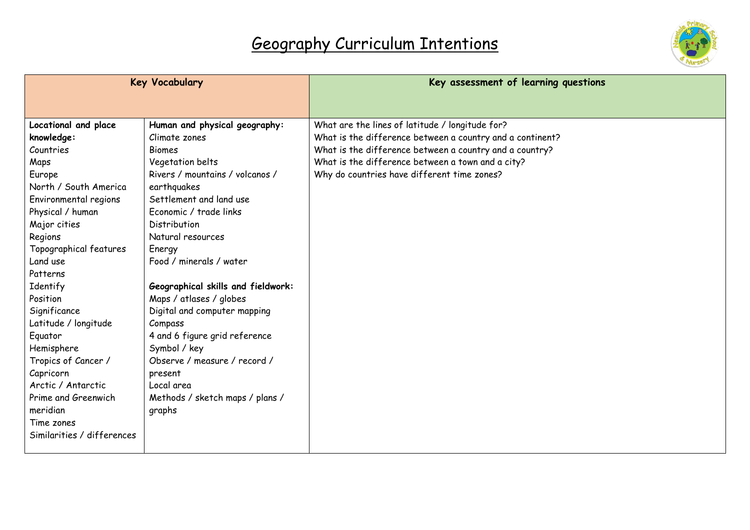

| <b>Key Vocabulary</b>      |                                    | Key assessment of learning questions                      |
|----------------------------|------------------------------------|-----------------------------------------------------------|
|                            |                                    |                                                           |
| Locational and place       | Human and physical geography:      | What are the lines of latitude / longitude for?           |
| knowledge:                 | Climate zones                      | What is the difference between a country and a continent? |
| Countries                  | <b>Biomes</b>                      | What is the difference between a country and a country?   |
| Maps                       | Vegetation belts                   | What is the difference between a town and a city?         |
| Europe                     | Rivers / mountains / volcanos /    | Why do countries have different time zones?               |
| North / South America      | earthquakes                        |                                                           |
| Environmental regions      | Settlement and land use            |                                                           |
| Physical / human           | Economic / trade links             |                                                           |
| Major cities               | Distribution                       |                                                           |
| Regions                    | Natural resources                  |                                                           |
| Topographical features     | Energy                             |                                                           |
| Land use                   | Food / minerals / water            |                                                           |
| Patterns                   |                                    |                                                           |
| Identify                   | Geographical skills and fieldwork: |                                                           |
| Position                   | Maps / atlases / globes            |                                                           |
| Significance               | Digital and computer mapping       |                                                           |
| Latitude / longitude       | Compass                            |                                                           |
| Equator                    | 4 and 6 figure grid reference      |                                                           |
| Hemisphere                 | Symbol / key                       |                                                           |
| Tropics of Cancer /        | Observe / measure / record /       |                                                           |
| Capricorn                  | present                            |                                                           |
| Arctic / Antarctic         | Local area                         |                                                           |
| Prime and Greenwich        | Methods / sketch maps / plans /    |                                                           |
| meridian                   | graphs                             |                                                           |
| Time zones                 |                                    |                                                           |
| Similarities / differences |                                    |                                                           |
|                            |                                    |                                                           |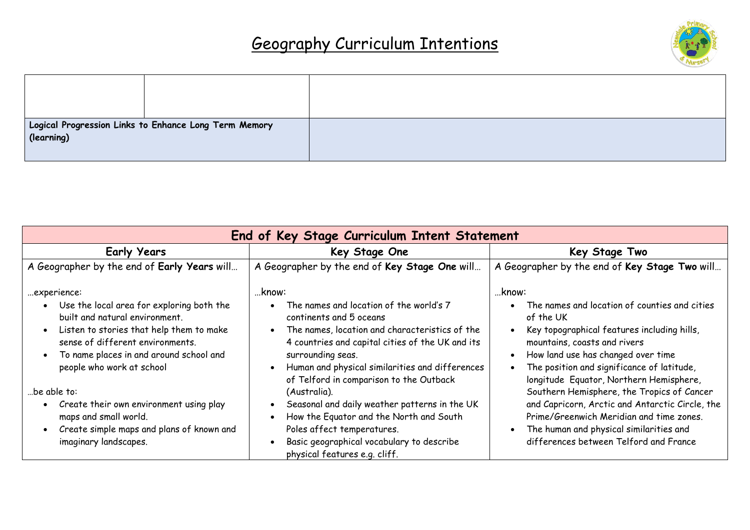

|            | $^\mid$ Logical Progression Links to Enhance Long Term Memory $^\mid$ |  |
|------------|-----------------------------------------------------------------------|--|
| (learning) |                                                                       |  |

| End of Key Stage Curriculum Intent Statement                                                                                                                                                                                                       |                                                                                                                                                                                                                                                                                                                   |                                                                                                                                                                                                                                                                                    |  |  |
|----------------------------------------------------------------------------------------------------------------------------------------------------------------------------------------------------------------------------------------------------|-------------------------------------------------------------------------------------------------------------------------------------------------------------------------------------------------------------------------------------------------------------------------------------------------------------------|------------------------------------------------------------------------------------------------------------------------------------------------------------------------------------------------------------------------------------------------------------------------------------|--|--|
| <b>Early Years</b>                                                                                                                                                                                                                                 | Key Stage One                                                                                                                                                                                                                                                                                                     | Key Stage Two                                                                                                                                                                                                                                                                      |  |  |
| A Geographer by the end of Early Years will                                                                                                                                                                                                        | A Geographer by the end of Key Stage One will                                                                                                                                                                                                                                                                     | A Geographer by the end of Key Stage Two will                                                                                                                                                                                                                                      |  |  |
| experience:<br>Use the local area for exploring both the<br>built and natural environment.<br>Listen to stories that help them to make<br>sense of different environments.<br>To name places in and around school and<br>people who work at school | know:<br>The names and location of the world's 7<br>continents and 5 oceans<br>The names, location and characteristics of the<br>$\bullet$<br>4 countries and capital cities of the UK and its<br>surrounding seas.<br>Human and physical similarities and differences<br>of Telford in comparison to the Outback | …know:<br>The names and location of counties and cities<br>of the UK<br>Key topographical features including hills,<br>mountains, coasts and rivers<br>How land use has changed over time<br>The position and significance of latitude,<br>longitude Equator, Northern Hemisphere, |  |  |
| be able to:<br>Create their own environment using play<br>maps and small world.<br>Create simple maps and plans of known and<br>imaginary landscapes.                                                                                              | (Australia).<br>Seasonal and daily weather patterns in the UK<br>How the Equator and the North and South<br>Poles affect temperatures.<br>Basic geographical vocabulary to describe<br>physical features e.g. cliff.                                                                                              | Southern Hemisphere, the Tropics of Cancer<br>and Capricorn, Arctic and Antarctic Circle, the<br>Prime/Greenwich Meridian and time zones.<br>The human and physical similarities and<br>differences between Telford and France                                                     |  |  |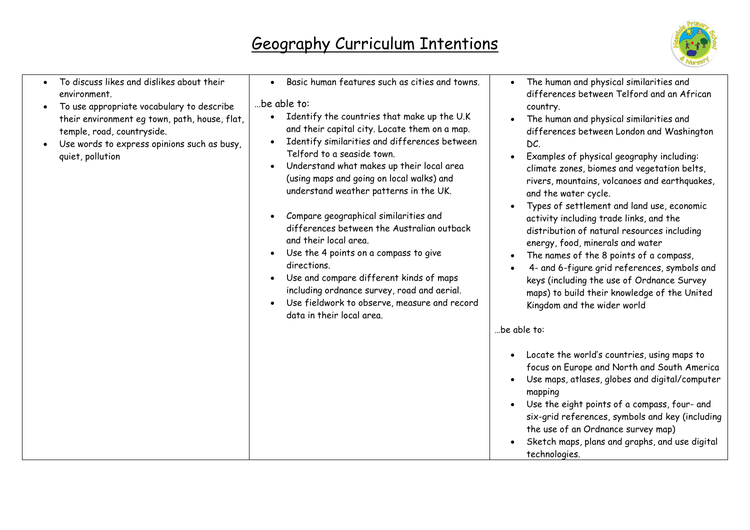

| To discuss likes and dislikes about their<br>environment.<br>To use appropriate vocabulary to describe<br>their environment eg town, path, house, flat,<br>temple, road, countryside.<br>Use words to express opinions such as busy,<br>quiet, pollution | Basic human features such as cities and towns.<br>be able to:<br>Identify the countries that make up the U.K<br>$\bullet$<br>and their capital city. Locate them on a map.<br>Identify similarities and differences between<br>$\bullet$<br>Telford to a seaside town.<br>Understand what makes up their local area<br>$\bullet$<br>(using maps and going on local walks) and<br>understand weather patterns in the UK.<br>Compare geographical similarities and<br>differences between the Australian outback<br>and their local area.<br>Use the 4 points on a compass to give<br>directions.<br>Use and compare different kinds of maps<br>$\bullet$<br>including ordnance survey, road and aerial.<br>Use fieldwork to observe, measure and record<br>data in their local area. | The human and physical similarities and<br>differences between Telford and an African<br>country.<br>The human and physical similarities and<br>differences between London and Washington<br>DC.<br>Examples of physical geography including:<br>climate zones, biomes and vegetation belts,<br>rivers, mountains, volcanoes and earthquakes,<br>and the water cycle.<br>Types of settlement and land use, economic<br>activity including trade links, and the<br>distribution of natural resources including<br>energy, food, minerals and water<br>The names of the 8 points of a compass,<br>4- and 6-figure grid references, symbols and<br>keys (including the use of Ordnance Survey<br>maps) to build their knowledge of the United<br>Kingdom and the wider world<br>be able to: |
|----------------------------------------------------------------------------------------------------------------------------------------------------------------------------------------------------------------------------------------------------------|-------------------------------------------------------------------------------------------------------------------------------------------------------------------------------------------------------------------------------------------------------------------------------------------------------------------------------------------------------------------------------------------------------------------------------------------------------------------------------------------------------------------------------------------------------------------------------------------------------------------------------------------------------------------------------------------------------------------------------------------------------------------------------------|------------------------------------------------------------------------------------------------------------------------------------------------------------------------------------------------------------------------------------------------------------------------------------------------------------------------------------------------------------------------------------------------------------------------------------------------------------------------------------------------------------------------------------------------------------------------------------------------------------------------------------------------------------------------------------------------------------------------------------------------------------------------------------------|
|                                                                                                                                                                                                                                                          |                                                                                                                                                                                                                                                                                                                                                                                                                                                                                                                                                                                                                                                                                                                                                                                     | Locate the world's countries, using maps to<br>focus on Europe and North and South America<br>Use maps, atlases, globes and digital/computer<br>mapping<br>Use the eight points of a compass, four- and<br>six-grid references, symbols and key (including<br>the use of an Ordnance survey map)<br>Sketch maps, plans and graphs, and use digital<br>technologies.                                                                                                                                                                                                                                                                                                                                                                                                                      |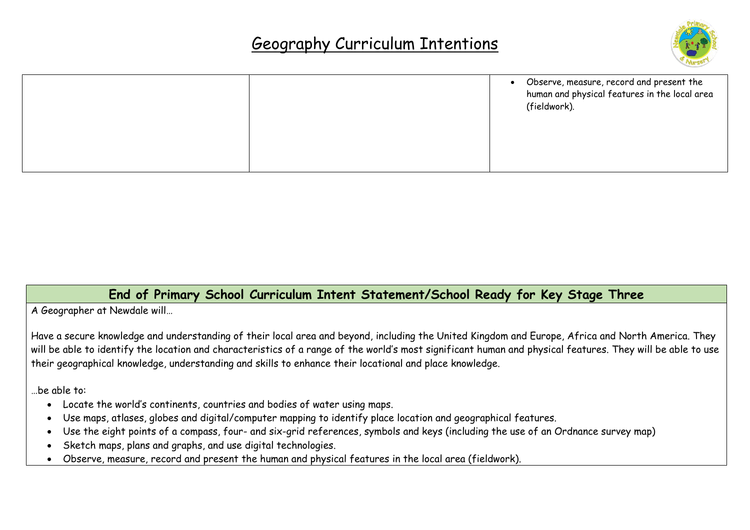

|  | • Observe, measure, record and present the<br>human and physical features in the local area<br>(fieldwork). |
|--|-------------------------------------------------------------------------------------------------------------|
|  |                                                                                                             |

### **End of Primary School Curriculum Intent Statement/School Ready for Key Stage Three**

A Geographer at Newdale will…

Have a secure knowledge and understanding of their local area and beyond, including the United Kingdom and Europe, Africa and North America. They will be able to identify the location and characteristics of a range of the world's most significant human and physical features. They will be able to use their geographical knowledge, understanding and skills to enhance their locational and place knowledge.

…be able to:

- Locate the world's continents, countries and bodies of water using maps.
- Use maps, atlases, globes and digital/computer mapping to identify place location and geographical features.
- Use the eight points of a compass, four- and six-grid references, symbols and keys (including the use of an Ordnance survey map)
- Sketch maps, plans and graphs, and use digital technologies.
- Observe, measure, record and present the human and physical features in the local area (fieldwork).